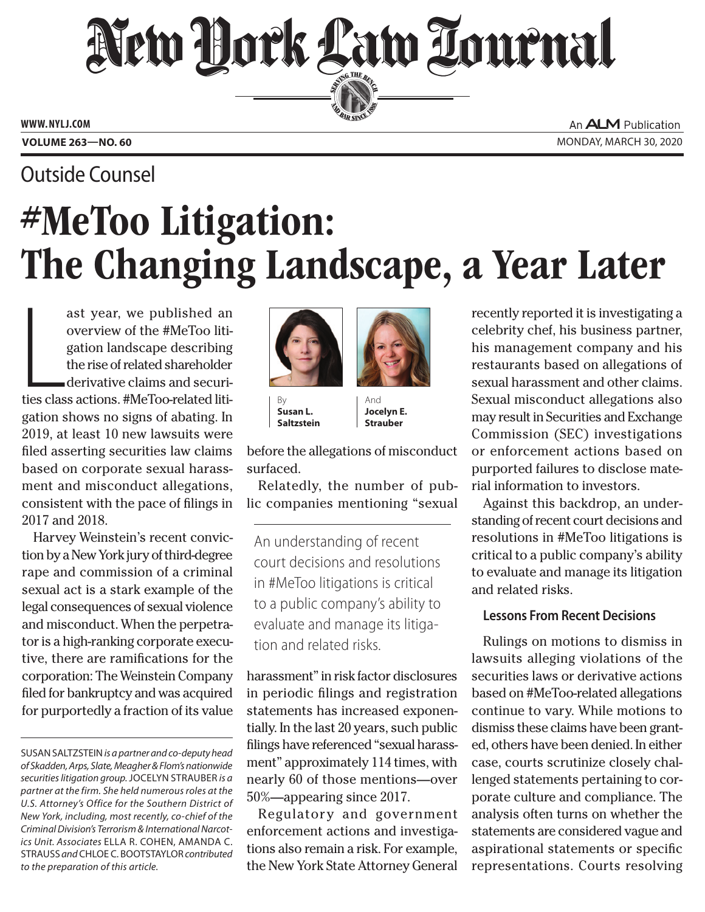## New Hork Law Lournal SERVING THE BET

**ED BAR SINCE 1888** 

**www. NYLJ.com**

An **ALM** Publication **Volume 263—NO. 60** Monday, March 30, 2020

### Outside Counsel

# #MeToo Litigation: The Changing Landscape, a Year Later

ast year, we published an<br>overview of the #MeToo liti-<br>gation landscape describing<br>the rise of related shareholder<br>derivative claims and securi-<br>ties class actions. #MeToo-related litiast year, we published an overview of the #MeToo litigation landscape describing the rise of related shareholder derivative claims and securigation shows no signs of abating. In 2019, at least 10 new lawsuits were filed asserting securities law claims based on corporate sexual harassment and misconduct allegations, consistent with the pace of filings in 2017 and 2018.

Harvey Weinstein's recent conviction by a New York jury of third-degree rape and commission of a criminal sexual act is a stark example of the legal consequences of sexual violence and misconduct. When the perpetrator is a high-ranking corporate executive, there are ramifications for the corporation: The Weinstein Company filed for bankruptcy and was acquired for purportedly a fraction of its value





By **Susan L. Saltzstein**

And **Jocelyn E. Strauber**

before the allegations of misconduct surfaced.

Relatedly, the number of public companies mentioning "sexual

An understanding of recent court decisions and resolutions in #MeToo litigations is critical to a public company's ability to evaluate and manage its litigation and related risks.

harassment" in risk factor disclosures in periodic filings and registration statements has increased exponentially. In the last 20 years, such public filings have referenced "sexual harassment" approximately 114 times, with nearly 60 of those mentions—over 50%—appearing since 2017.

Regulatory and government enforcement actions and investigations also remain a risk. For example, the New York State Attorney General

recently reported it is investigating a celebrity chef, his business partner, his management company and his restaurants based on allegations of sexual harassment and other claims. Sexual misconduct allegations also may result in Securities and Exchange Commission (SEC) investigations or enforcement actions based on purported failures to disclose material information to investors.

Against this backdrop, an understanding of recent court decisions and resolutions in #MeToo litigations is critical to a public company's ability to evaluate and manage its litigation and related risks.

#### **Lessons From Recent Decisions**

Rulings on motions to dismiss in lawsuits alleging violations of the securities laws or derivative actions based on #MeToo-related allegations continue to vary. While motions to dismiss these claims have been granted, others have been denied. In either case, courts scrutinize closely challenged statements pertaining to corporate culture and compliance. The analysis often turns on whether the statements are considered vague and aspirational statements or specific representations. Courts resolving

Susan Saltzstein *is a partner and co-deputy head of Skadden, Arps, Slate, Meagher & Flom's nationwide securities litigation group.* Jocelyn Strauber *is a partner at the firm. She held numerous roles at the U.S. Attorney's Office for the Southern District of New York, including, most recently, co-chief of the Criminal Division's Terrorism & International Narcotics Unit. Associates* Ella R. Cohen, Amanda C. Strauss *and* Chloe C. Bootstaylor *contributed to the preparation of this article.*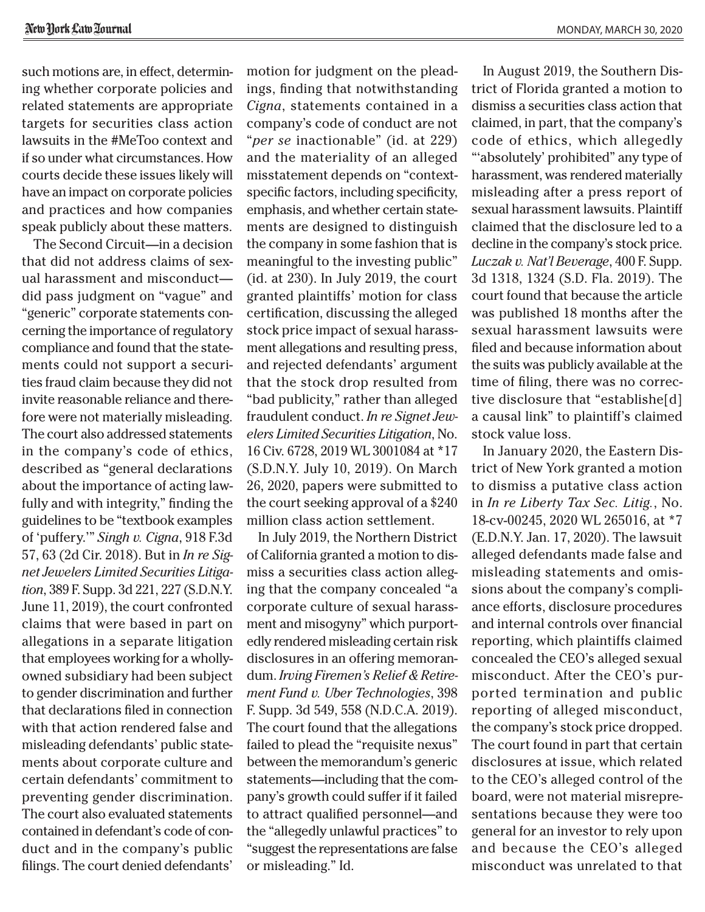such motions are, in effect, determining whether corporate policies and related statements are appropriate targets for securities class action lawsuits in the #MeToo context and if so under what circumstances. How courts decide these issues likely will have an impact on corporate policies and practices and how companies speak publicly about these matters.

The Second Circuit—in a decision that did not address claims of sexual harassment and misconduct did pass judgment on "vague" and "generic" corporate statements concerning the importance of regulatory compliance and found that the statements could not support a securities fraud claim because they did not invite reasonable reliance and therefore were not materially misleading. The court also addressed statements in the company's code of ethics, described as "general declarations about the importance of acting lawfully and with integrity," finding the guidelines to be "textbook examples of 'puffery.'" *Singh v. Cigna*, 918 F.3d 57, 63 (2d Cir. 2018). But in *In re Signet Jewelers Limited Securities Litigation*, 389 F. Supp. 3d 221, 227 (S.D.N.Y. June 11, 2019), the court confronted claims that were based in part on allegations in a separate litigation that employees working for a whollyowned subsidiary had been subject to gender discrimination and further that declarations filed in connection with that action rendered false and misleading defendants' public statements about corporate culture and certain defendants' commitment to preventing gender discrimination. The court also evaluated statements contained in defendant's code of conduct and in the company's public filings. The court denied defendants'

motion for judgment on the pleadings, finding that notwithstanding *Cigna*, statements contained in a company's code of conduct are not "*per se* inactionable" (id. at 229) and the materiality of an alleged misstatement depends on "contextspecific factors, including specificity, emphasis, and whether certain statements are designed to distinguish the company in some fashion that is meaningful to the investing public" (id. at 230). In July 2019, the court granted plaintiffs' motion for class certification, discussing the alleged stock price impact of sexual harassment allegations and resulting press, and rejected defendants' argument that the stock drop resulted from "bad publicity," rather than alleged fraudulent conduct. *In re Signet Jewelers Limited Securities Litigation*, No. 16 Civ. 6728, 2019 WL 3001084 at \*17 (S.D.N.Y. July 10, 2019). On March 26, 2020, papers were submitted to the court seeking approval of a \$240 million class action settlement.

In July 2019, the Northern District of California granted a motion to dismiss a securities class action alleging that the company concealed "a corporate culture of sexual harassment and misogyny" which purportedly rendered misleading certain risk disclosures in an offering memorandum. *Irving Firemen's Relief & Retirement Fund v. Uber Technologies*, 398 F. Supp. 3d 549, 558 (N.D.C.A. 2019). The court found that the allegations failed to plead the "requisite nexus" between the memorandum's generic statements—including that the company's growth could suffer if it failed to attract qualified personnel—and the "allegedly unlawful practices" to "suggest the representations are false or misleading." Id.

In August 2019, the Southern District of Florida granted a motion to dismiss a securities class action that claimed, in part, that the company's code of ethics, which allegedly "'absolutely' prohibited" any type of harassment, was rendered materially misleading after a press report of sexual harassment lawsuits. Plaintiff claimed that the disclosure led to a decline in the company's stock price. *Luczak v. Nat'l Beverage*, 400 F. Supp. 3d 1318, 1324 (S.D. Fla. 2019). The court found that because the article was published 18 months after the sexual harassment lawsuits were filed and because information about the suits was publicly available at the time of filing, there was no corrective disclosure that "establishe[d] a causal link" to plaintiff's claimed stock value loss.

In January 2020, the Eastern District of New York granted a motion to dismiss a putative class action in *In re Liberty Tax Sec. Litig.*, No. 18-cv-00245, 2020 WL 265016, at \*7 (E.D.N.Y. Jan. 17, 2020). The lawsuit alleged defendants made false and misleading statements and omissions about the company's compliance efforts, disclosure procedures and internal controls over financial reporting, which plaintiffs claimed concealed the CEO's alleged sexual misconduct. After the CEO's purported termination and public reporting of alleged misconduct, the company's stock price dropped. The court found in part that certain disclosures at issue, which related to the CEO's alleged control of the board, were not material misrepresentations because they were too general for an investor to rely upon and because the CEO's alleged misconduct was unrelated to that